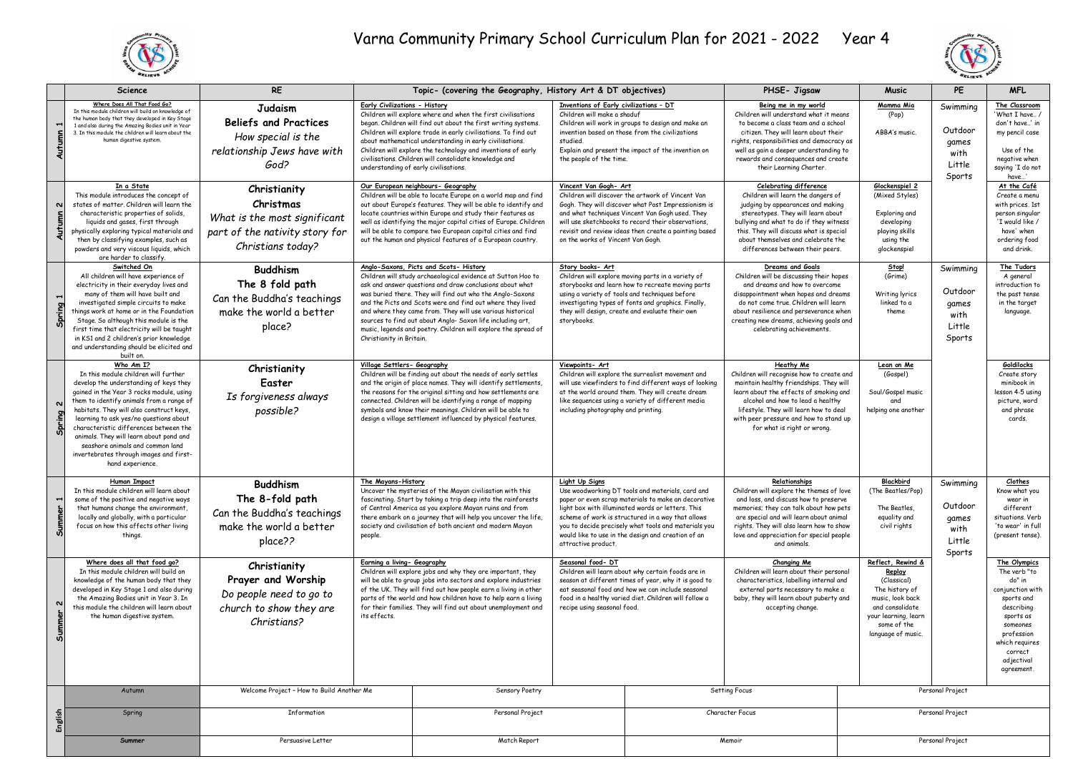



|                        | <b>Science</b>                                                                                                                                                                                                                                                                                                                                                                                                                                                    | <b>RE</b>                                                                                                        | Topic- (covering the Geography, History Art & DT objectives)                                                                                                                                                                                                                                                                                                                                                                                                                                                            |                                                                                                                                                                                                                                                                                                                                                                                                                                  |                                                                                                                                                                                                                                                                                                                                                                                 | PHSE- Jigsaw                                                                                                                                                                                                                                                        | Music                                                                                                                                                                                                                                                                                                          | PE                                                                                                                                                               | <b>MFL</b>                                               |                                                                                                                                                                                        |
|------------------------|-------------------------------------------------------------------------------------------------------------------------------------------------------------------------------------------------------------------------------------------------------------------------------------------------------------------------------------------------------------------------------------------------------------------------------------------------------------------|------------------------------------------------------------------------------------------------------------------|-------------------------------------------------------------------------------------------------------------------------------------------------------------------------------------------------------------------------------------------------------------------------------------------------------------------------------------------------------------------------------------------------------------------------------------------------------------------------------------------------------------------------|----------------------------------------------------------------------------------------------------------------------------------------------------------------------------------------------------------------------------------------------------------------------------------------------------------------------------------------------------------------------------------------------------------------------------------|---------------------------------------------------------------------------------------------------------------------------------------------------------------------------------------------------------------------------------------------------------------------------------------------------------------------------------------------------------------------------------|---------------------------------------------------------------------------------------------------------------------------------------------------------------------------------------------------------------------------------------------------------------------|----------------------------------------------------------------------------------------------------------------------------------------------------------------------------------------------------------------------------------------------------------------------------------------------------------------|------------------------------------------------------------------------------------------------------------------------------------------------------------------|----------------------------------------------------------|----------------------------------------------------------------------------------------------------------------------------------------------------------------------------------------|
| H<br>Autumn            | Where Does All That Food Go?<br>In this module children will build on knowledge of<br>the human body that they developed in Key Stage<br>1 and also during the Amazing Bodies unit in Year<br>3. In this module the children will learn about the<br>human digestive system.                                                                                                                                                                                      | <b>Judaism</b><br><b>Beliefs and Practices</b><br>How special is the<br>relationship Jews have with<br>God?      | Early Civilizations - History                                                                                                                                                                                                                                                                                                                                                                                                                                                                                           | Children will explore where and when the first civilisations<br>began. Children will find out about the first writing systems.<br>Children will explore trade in early civilisations. To find out<br>about mathematical understanding in early civilisations.<br>Children will explore the technology and inventions of early<br>civilisations. Children will consolidate knowledge and<br>understanding of early civilisations. | Inventions of Early civilizations - DT<br>Children will make a shaduf<br>studied.<br>the people of the time.                                                                                                                                                                                                                                                                    | Children will work in groups to design and make an<br>invention based on those from the civilizations<br>Explain and present the impact of the invention on                                                                                                         | Being me in my world<br>Children will understand what it means<br>to become a class team and a school<br>citizen. They will learn about their<br>rights, responsibilities and democracy as<br>well as gain a deeper understanding to<br>rewards and consequences and create<br>their Learning Charter.         | <u>Mamma Mia</u><br>(Pop)<br>ABBA's music.                                                                                                                       | Swimming<br>Outdoor<br>games<br>with<br>Little<br>Sports | The Classroom<br>'What I have /<br>don't have' in<br>my pencil case<br>Use of the<br>negative when<br>saying 'I do not<br>have'                                                        |
| 2<br>Autum             | In a State<br>This module introduces the concept of<br>states of matter, Children will learn the<br>characteristic properties of solids,<br>liquids and gases, first through<br>physically exploring typical materials and<br>then by classifying examples, such as<br>powders and very viscous liquids, which<br>are harder to classify.                                                                                                                         | Christianity<br>Christmas<br>What is the most significant<br>part of the nativity story for<br>Christians today? | Our European neighbours- Geography<br>Children will be able to locate Europe on a world map and find<br>out about Europe's features. They will be able to identify and<br>locate countries within Europe and study their features as<br>well as identifying the major capital cities of Europe. Children<br>will be able to compare two European capital cities and find<br>out the human and physical features of a European country.                                                                                  |                                                                                                                                                                                                                                                                                                                                                                                                                                  | Vincent Van Gogh- Art<br>Children will discover the artwork of Vincent Van<br>Gogh. They will discover what Post Impressionism is<br>and what techniques Vincent Van Gogh used. They<br>will use sketchbooks to record their observations,<br>revisit and review ideas then create a painting based<br>on the works of Vincent Van Gogh.                                        |                                                                                                                                                                                                                                                                     | <b>Celebrating difference</b><br>Children will learn the dangers of<br>judging by appearances and making<br>stereotypes. They will learn about<br>bullying and what to do if they witness<br>this. They will discuss what is special<br>about themselves and celebrate the<br>differences between their peers. | Glockenspiel 2<br>(Mixed Styles)<br>Exploring and<br>developing<br>playing skills<br>using the<br>glockenspiel                                                   |                                                          | At the Café<br>Create a menu<br>with prices. 1st<br>person singular<br>'I would like /<br>have' when<br>ordering food<br>and drink.                                                    |
| Spring 1               | Switched On<br>All children will have experience of<br>electricity in their everyday lives and<br>many of them will have built and<br>investigated simple circuits to make<br>things work at home or in the Foundation<br>Stage. So although this module is the<br>first time that electricity will be taught<br>in KS1 and 2 children's prior knowledge<br>and understanding should be elicited and<br>built on.                                                 | <b>Buddhism</b><br>The 8 fold path<br>Can the Buddha's teachings<br>make the world a better<br>place?            | Anglo-Saxons, Picts and Scots- History<br>Children will study archaeological evidence at Sutton Hoo to<br>ask and answer questions and draw conclusions about what<br>was buried there. They will find out who the Anglo-Saxons<br>and the Picts and Scots were and find out where they lived<br>and where they came from. They will use various historical<br>sources to find out about Anglo- Saxon life including art,<br>music, legends and poetry. Children will explore the spread of<br>Christianity in Britain. |                                                                                                                                                                                                                                                                                                                                                                                                                                  | Story books- Art<br>storybooks.                                                                                                                                                                                                                                                                                                                                                 | Children will explore moving parts in a variety of<br>storybooks and learn how to recreate moving parts<br>using a variety of tools and techniques before<br>investigating types of fonts and graphics. Finally,<br>they will design, create and evaluate their own | Dreams and Goals<br>Children will be discussing their hopes<br>and dreams and how to overcome<br>disappointment when hopes and dreams<br>do not come true, Children will learn<br>about resilience and perseverance when<br>creating new dreams, achieving goals and<br>celebrating achievements.              | <b>Stop!</b><br>(Grime)<br>Writing lyrics<br>linked to a<br>theme                                                                                                | Swimming<br>Outdoor<br>games<br>with<br>Little<br>Sports | The Tudors<br>A general<br>introduction to<br>the past tense<br>in the target<br>language.                                                                                             |
| $\mathbf{v}$<br>Spring | Who Am I?<br>In this module children will further<br>develop the understanding of keys they<br>gained in the Year 3 rocks module, using<br>them to identify animals from a range of<br>habitats. They will also construct keys,<br>learning to ask yes/no questions about<br>characteristic differences between the<br>animals. They will learn about pond and<br>seashore animals and common land<br>invertebrates through images and first-<br>hand experience. | Christianity<br>Easter<br>Is forgiveness always<br>possible?                                                     | Village Settlers- Geography<br>Children will be finding out about the needs of early settles<br>and the origin of place names. They will identify settlements,<br>the reasons for the original sitting and how settlements are<br>connected. Children will be identifying a range of mapping<br>symbols and know their meanings. Children will be able to<br>design a village settlement influenced by physical features.                                                                                               |                                                                                                                                                                                                                                                                                                                                                                                                                                  | Viewpoints- Art<br>Children will explore the surrealist movement and<br>will use viewfinders to find different ways of looking<br>at the world around them. They will create dream<br>like sequences using a variety of different media<br>including photography and printing.                                                                                                  |                                                                                                                                                                                                                                                                     | Heathy Me<br>Children will recognise how to create and<br>maintain healthy friendships. They will<br>learn about the effects of smoking and<br>alcohol and how to lead a healthy<br>lifestyle. They will learn how to deal<br>with peer pressure and how to stand up<br>for what is right or wrong.            | Lean on Me<br>(Gospel)<br>Soul/Gospel music<br>and<br>helping one another                                                                                        |                                                          | Goldilocks<br>Create story<br>minibook in<br>lesson 4-5 using<br>picture, word<br>and phrase<br>cards.                                                                                 |
| 5                      | <b>Human Impact</b><br>In this module children will learn about<br>some of the positive and negative ways<br>that humans change the environment,<br>locally and globally, with a particular<br>focus on how this affects other living<br>things.                                                                                                                                                                                                                  | <b>Buddhism</b><br>The 8-fold path<br>Can the Buddha's teachings<br>make the world a better<br>place??           | The Mayans-History<br>Uncover the mysteries of the Mayan civilisation with this<br>fascinating. Start by taking a trip deep into the rainforests<br>of Central America as you explore Mayan ruins and from<br>there embark on a journey that will help you uncover the life,<br>society and civilisation of both ancient and modern Mayan<br>people.                                                                                                                                                                    |                                                                                                                                                                                                                                                                                                                                                                                                                                  | <b>Light Up Signs</b><br>Use woodworking DT tools and materials, card and<br>paper or even scrap materials to make an decorative<br>light box with illuminated words or letters. This<br>scheme of work is structured in a way that allows<br>you to decide precisely what tools and materials you<br>would like to use in the design and creation of an<br>attractive product. |                                                                                                                                                                                                                                                                     | Relationships<br>Children will explore the themes of love<br>and loss, and discuss how to preserve<br>memories; they can talk about how pets<br>are special and will learn about animal<br>rights. They will also learn how to show<br>love and appreciation for special people<br>and animals.                | Blackbird<br>(The Beatles/Pop)<br>The Beatles,<br>equality and<br>civil rights                                                                                   | Swimming<br>Outdoor<br>games<br>with<br>Little<br>Sports | Clothes<br>Know what you<br>wear in<br>different<br>situations, Verb<br>'to wear' in full<br>(present tense).                                                                          |
| N<br>Summer            | Where does all that food go?<br>In this module children will build on<br>knowledge of the human body that they<br>developed in Key Stage 1 and also during<br>the Amazing Bodies unit in Year 3. In<br>this module the children will learn about<br>the human digestive system.                                                                                                                                                                                   | Christianity<br>Prayer and Worship<br>Do people need to go to<br>church to show they are<br>Christians?          | Earning a living- Geography<br>Children will explore jobs and why they are important, they<br>will be able to group jobs into sectors and explore industries<br>of the UK. They will find out how people earn a living in other<br>parts of the world and how children have to help earn a living<br>for their families. They will find out about unemployment and<br>its effects.                                                                                                                                      |                                                                                                                                                                                                                                                                                                                                                                                                                                  | Seasonal food- DT<br>Children will learn about why certain foods are in<br>season at different times of year, why it is good to<br>eat seasonal food and how we can include seasonal<br>food in a healthy varied diet. Children will follow a<br>recipe using seasonal food.                                                                                                    |                                                                                                                                                                                                                                                                     | <b>Changing Me</b><br>Children will learn about their personal<br>characteristics, labelling internal and<br>external parts necessary to make a<br>baby, they will learn about puberty and<br>accepting change.                                                                                                | Reflect, Rewind &<br>Replay<br>(Classical)<br>The history of<br>music, look back<br>and consolidate<br>your learning, learn<br>some of the<br>language of music. |                                                          | The Olympics<br>The verb "to<br>do" in<br>conjunction with<br>sports and<br>describing<br>sports as<br>someones<br>profession<br>which requires<br>correct<br>adjectival<br>agreement. |
|                        | Autumn                                                                                                                                                                                                                                                                                                                                                                                                                                                            | Welcome Project - How to Build Another Me                                                                        |                                                                                                                                                                                                                                                                                                                                                                                                                                                                                                                         | Sensory Poetry                                                                                                                                                                                                                                                                                                                                                                                                                   |                                                                                                                                                                                                                                                                                                                                                                                 |                                                                                                                                                                                                                                                                     | Setting Focus                                                                                                                                                                                                                                                                                                  |                                                                                                                                                                  | Personal Project                                         |                                                                                                                                                                                        |
| English                | Spring                                                                                                                                                                                                                                                                                                                                                                                                                                                            | Information                                                                                                      |                                                                                                                                                                                                                                                                                                                                                                                                                                                                                                                         | Personal Project                                                                                                                                                                                                                                                                                                                                                                                                                 |                                                                                                                                                                                                                                                                                                                                                                                 |                                                                                                                                                                                                                                                                     | Character Focus                                                                                                                                                                                                                                                                                                |                                                                                                                                                                  | Personal Project                                         |                                                                                                                                                                                        |
|                        | Summer                                                                                                                                                                                                                                                                                                                                                                                                                                                            | Persuasive Letter                                                                                                |                                                                                                                                                                                                                                                                                                                                                                                                                                                                                                                         | Match Report                                                                                                                                                                                                                                                                                                                                                                                                                     |                                                                                                                                                                                                                                                                                                                                                                                 |                                                                                                                                                                                                                                                                     | Memoir                                                                                                                                                                                                                                                                                                         |                                                                                                                                                                  | Personal Project                                         |                                                                                                                                                                                        |